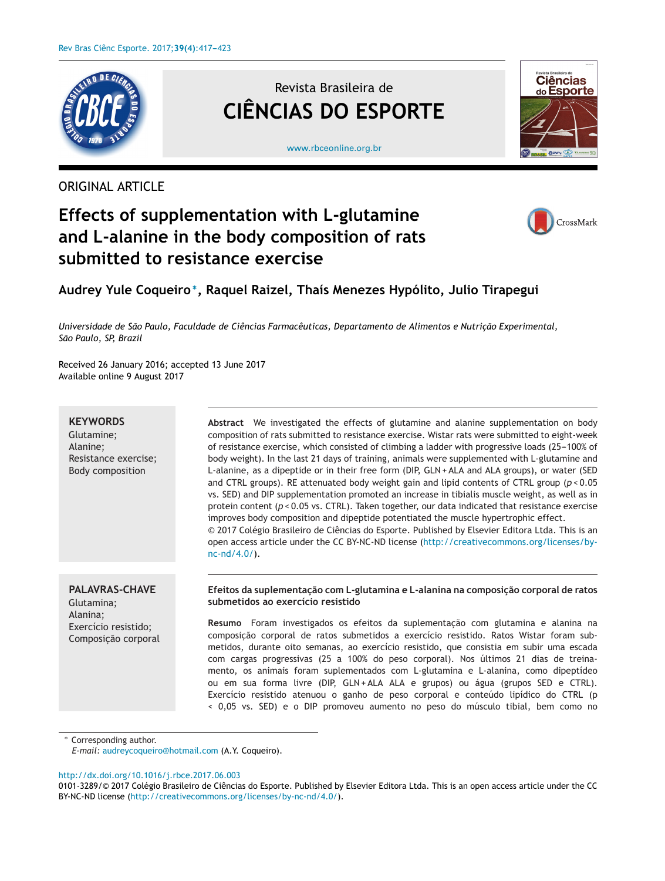

ORIGINAL ARTICLE

Revista Brasileira de **CIÊNCIAS DO ESPORTE**



#### [www.rbceonline.org.br](http://www.rbceonline.org.br)

# **Effects of supplementation with L-glutamine and L-alanine in the body composition of rats submitted to resistance exercise**



## **Audrey Yule Coqueiro∗, Raquel Raizel, Thaís Menezes Hypólito, Julio Tirapegui**

*Universidade de São Paulo, Faculdade de Ciências Farmacêuticas, Departamento de Alimentos e Nutric¸ão Experimental, São Paulo, SP, Brazil*

Received 26 January 2016; accepted 13 June 2017 Available online 9 August 2017

## **KEYWORDS**

Glutamine; Alanine; Resistance exercise; Body composition

**Abstract** We investigated the effects of glutamine and alanine supplementation on body composition of rats submitted to resistance exercise. Wistar rats were submitted to eight-week of resistance exercise, which consisted of climbing a ladder with progressive loads (25-100% of body weight). In the last 21 days of training, animals were supplemented with L-glutamine and L-alanine, as a dipeptide or in their free form (DIP, GLN + ALA and ALA groups), or water (SED and CTRL groups). RE attenuated body weight gain and lipid contents of CTRL group (*p* < 0.05 vs. SED) and DIP supplementation promoted an increase in tibialis muscle weight, as well as in protein content (*p* < 0.05 vs. CTRL). Taken together, our data indicated that resistance exercise improves body composition and dipeptide potentiated the muscle hypertrophic effect. © 2017 Colégio Brasileiro de Ciências do Esporte. Published by Elsevier Editora Ltda. This is an open access article under the CC BY-NC-ND license [\(http://creativecommons.org/licenses/by](http://creativecommons.org/licenses/by-nc-nd/4.0/)[nc-nd/4.0/](http://creativecommons.org/licenses/by-nc-nd/4.0/)).

## **PALAVRAS-CHAVE** Glutamina; Alanina; Exercício resistido; Composição corporal

## **Efeitos da suplementac¸ão com L-glutamina e L-alanina na composic¸ão corporal de ratos submetidos ao exercício resistido**

**Resumo** Foram investigados os efeitos da suplementação com glutamina e alanina na composição corporal de ratos submetidos a exercício resistido. Ratos Wistar foram submetidos, durante oito semanas, ao exercício resistido, que consistia em subir uma escada com cargas progressivas (25 a 100% do peso corporal). Nos últimos 21 dias de treinamento, os animais foram suplementados com L-glutamina e L-alanina, como dipeptídeo ou em sua forma livre (DIP, GLN + ALA ALA e grupos) ou água (grupos SED e CTRL). Exercício resistido atenuou o ganho de peso corporal e conteúdo lipídico do CTRL (p < 0,05 vs. SED) e o DIP promoveu aumento no peso do músculo tibial, bem como no

Corresponding author.

*E-mail:* [audreycoqueiro@hotmail.com](mailto:audreycoqueiro@hotmail.com) (A.Y. Coqueiro).

[http://dx.doi.org/10.1016/j.rbce.2017.06.003](dx.doi.org/10.1016/j.rbce.2017.06.003)

0101-3289/© 2017 Colégio Brasileiro de Ciências do Esporte. Published by Elsevier Editora Ltda. This is an open access article under the CC BY-NC-ND license (<http://creativecommons.org/licenses/by-nc-nd/4.0/>).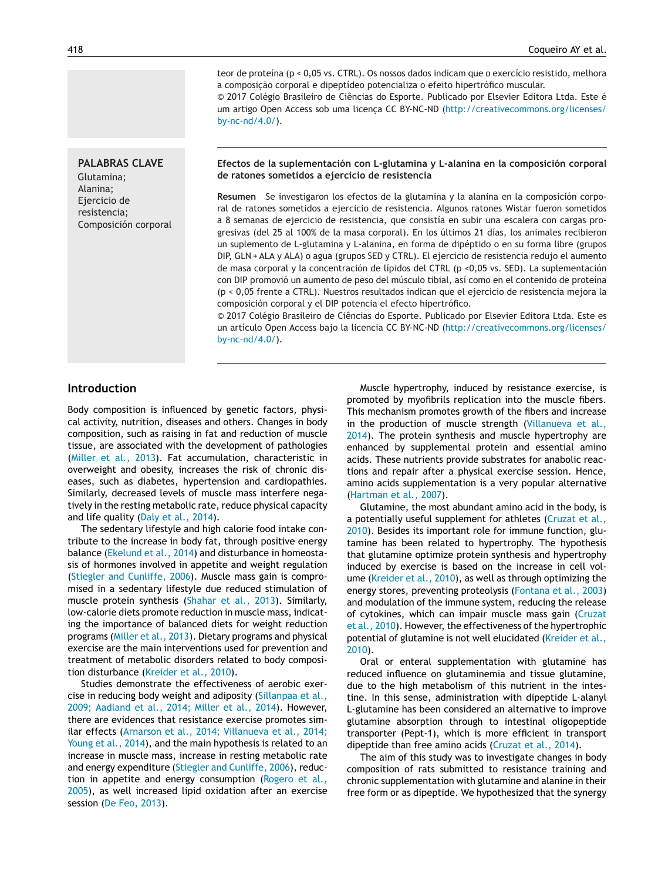**PALABRAS CLAVE** Glutamina; Alanina; Ejercicio de resistencia; Composición corporal

teor de proteína (p < 0,05 vs. CTRL). Os nossos dados indicam que o exercício resistido, melhora a composição corporal e dipeptídeo potencializa o efeito hipertrófico muscular.

© 2017 Colégio Brasileiro de Ciências do Esporte. Publicado por Elsevier Editora Ltda. Este é um artigo Open Access sob uma licença CC BY-NC-ND ([http://creativecommons.org/licenses/](http://creativecommons.org/licenses/by-nc-nd/4.0/) [by-nc-nd/4.0/\)](http://creativecommons.org/licenses/by-nc-nd/4.0/).

#### **Efectos de la suplementación con L-glutamina y L-alanina en la composición corporal de ratones sometidos a ejercicio de resistencia**

**Resumen** Se investigaron los efectos de la glutamina y la alanina en la composición corporal de ratones sometidos a ejercicio de resistencia. Algunos ratones Wistar fueron sometidos a 8 semanas de ejercicio de resistencia, que consistía en subir una escalera con cargas progresivas (del 25 al 100% de la masa corporal). En los últimos 21 días, los animales recibieron un suplemento de L-glutamina y L-alanina, en forma de dipéptido o en su forma libre (grupos DIP, GLN + ALA y ALA) o agua (grupos SED y CTRL). El ejercicio de resistencia redujo el aumento de masa corporal y la concentración de lípidos del CTRL (p <0,05 vs. SED). La suplementación con DIP promovió un aumento de peso del músculo tibial, así como en el contenido de proteína (p < 0,05 frente a CTRL). Nuestros resultados indican que el ejercicio de resistencia mejora la composición corporal y el DIP potencia el efecto hipertrófico.

© 2017 Colégio Brasileiro de Ciências do Esporte. Publicado por Elsevier Editora Ltda. Este es un artículo Open Access bajo la licencia CC BY-NC-ND ([http://creativecommons.org/licenses/](http://creativecommons.org/licenses/by-nc-nd/4.0/) [by-nc-nd/4.0/\)](http://creativecommons.org/licenses/by-nc-nd/4.0/).

## **Introduction**

Body composition is influenced by genetic factors, physical activity, nutrition, diseases and others. Changes in body composition, such as raising in fat and reduction of muscle tissue, are associated with the development of pathologies [\(Miller](#page-5-0) et al., 2013). Fat accumulation, characteristic in overweight and obesity, increases the risk of chronic diseases, such as diabetes, hypertension and cardiopathies. Similarly, decreased levels of muscle mass interfere negatively in the resting metabolic rate, reduce physical capacity and life quality (Daly et al., [2014\).](#page-5-0)

The sedentary lifestyle and high calorie food intake contribute to the increase in body fat, through positive energy balance ([Ekelund](#page-5-0) et al., 2014) and disturbance in homeostasis of hormones involved in appetite and weight regulation (Stiegler and [Cunliffe,](#page-6-0) 2006). Muscle mass gain is compromised in a sedentary lifestyle due reduced stimulation of muscle protein synthesis ([Shahar](#page-5-0) et al., 2013). Similarly, low-calorie diets promote reduction in muscle mass, indicating the importance of balanced diets for weight reduction programs (Miller et al., [2013\).](#page-5-0) Dietary programs and physical exercise are the main interventions used for prevention and treatment of metabolic disorders related to body composition disturbance [\(Kreider](#page-5-0) et al., 2010).

Studies demonstrate the effectiveness of aerobic exercise in reducing body weight and adiposity (Sillanpaa et al., 2009; Aadland et al., 2014; Miller et al., 2014). However, there are evidences that resistance exercise promotes similar effects (Arnarson et al., 2014; [Villanueva](#page-5-0) et al., 2014; Young et al., 2014), and the main hypothesis is related to an increase in muscle mass, increase in resting metabolic rate and energy expenditure (Stiegler and [Cunliffe,](#page-6-0) 2006), reduction in appetite and energy consumption [\(Rogero](#page-5-0) et al., 2005), as well increased lipid oxidation after an exercise session (De Feo, [2013\).](#page-5-0)

Muscle hypertrophy, induced by resistance exercise, is promoted by myofibrils replication into the muscle fibers. This mechanism promotes growth of the fibers and increase in the production of muscle strength ([Villanueva](#page-6-0) et al., 2014). The protein synthesis and muscle hypertrophy are enhanced by supplemental protein and essential amino acids. These nutrients provide substrates for anabolic reactions and repair after a physical exercise session. Hence, amino acids supplementation is a very popular alternative [\(Hartman](#page-5-0) et al., 2007).

Glutamine, the most abundant amino acid in the body, is a potentially useful supplement for athletes ([Cruzat](#page-5-0) et al., 2010). Besides its important role for immune function, glutamine has been related to hypertrophy. The hypothesis that glutamine optimize protein synthesis and hypertrophy induced by exercise is based on the increase in cell volume ([Kreider](#page-5-0) et al., 2010), as well as through optimizing the energy stores, preventing proteolysis [\(Fontana](#page-5-0) et al., 2003) and modulation of the immune system, reducing the release of cytokines, which can impair muscle mass gain ([Cruzat](#page-5-0) et al., 2010). However, the effectiveness of the hypertrophic potential of glutamine is not well elucidated ([Kreider](#page-5-0) et al., 2010).

Oral or enteral supplementation with glutamine has reduced influence on glutaminemia and tissue glutamine, due to the high metabolism of this nutrient in the intestine. In this sense, [administration](#page-6-0) with dipeptide L-alanyl L-glutamine has been considered an alternative to improve glutamine absorption through to intestinal oligopeptide transporter (Pept-1), which is more efficient in transport dipeptide than free amino acids ([Cruzat](#page-5-0) et al., 2014).

The aim of this study was to investigate changes in body composition of rats submitted to resistance training and chronic supplementation with glutamine and alanine in their free form or as dipeptide. We hypothesized that the synergy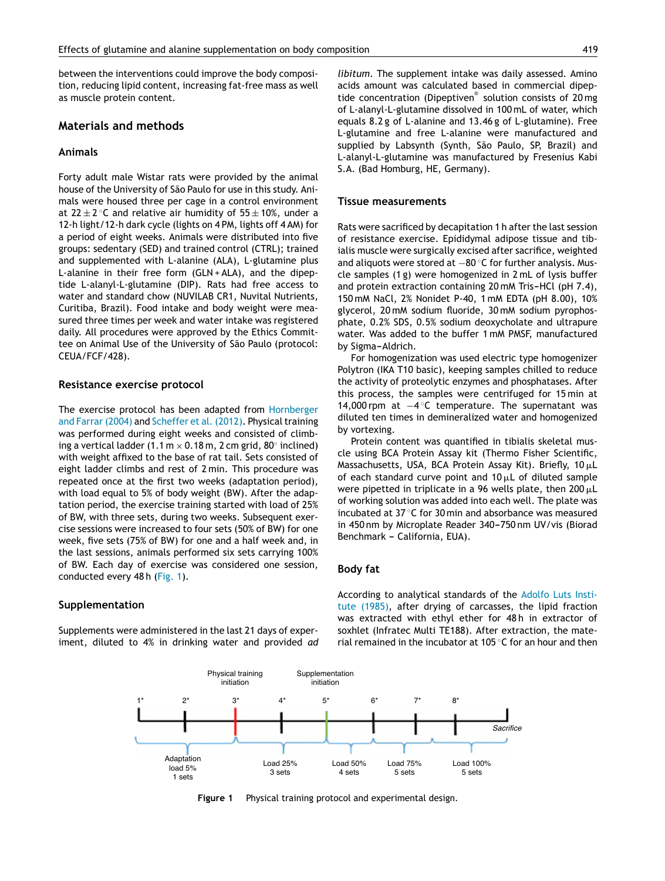between the interventions could improve the body composition, reducing lipid content, increasing fat-free mass as well as muscle protein content.

## **Materials and methods**

## **Animals**

Forty adult male Wistar rats were provided by the animal house of the University of São Paulo for use in this study. Animals were housed three per cage in a control environment at  $22 \pm 2$  °C and relative air humidity of  $55 \pm 10$ %, under a 12-h light/12-h dark cycle (lights on 4 PM, lights off 4 AM) for a period of eight weeks. Animals were distributed into five groups: sedentary (SED) and trained control (CTRL); trained and supplemented with L-alanine (ALA), L-glutamine plus L-alanine in their free form (GLN + ALA), and the dipeptide L-alanyl-L-glutamine (DIP). Rats had free access to water and standard chow (NUVILAB CR1, Nuvital Nutrients, Curitiba, Brazil). Food intake and body weight were measured three times per week and water intake was registered daily. All procedures were approved by the Ethics Committee on Animal Use of the University of São Paulo (protocol: CEUA/FCF/428).

#### **Resistance exercise protocol**

The exercise protocol has been adapted from [Hornberger](#page-5-0) and Farrar (2004) and [Scheffer](#page-5-0) et al. (2012). Physical training was performed during eight weeks and consisted of climbing a vertical ladder (1.1 m  $\times$  0.18 m, 2 cm grid, 80 $^{\circ}$  inclined) with weight affixed to the base of rat tail. Sets consisted of eight ladder climbs and rest of 2 min. This procedure was repeated once at the first two weeks (adaptation period), with load equal to 5% of body weight (BW). After the adaptation period, the exercise training started with load of 25% of BW, with three sets, during two weeks. Subsequent exercise sessions were increased to four sets (50% of BW) for one week, five sets (75% of BW) for one and a half week and, in the last sessions, animals performed six sets carrying 100% of BW. Each day of exercise was considered one session, conducted every 48 h (Fig. 1).

#### **Supplementation**

Supplements were administered in the last 21 days of experiment, diluted to 4% in drinking water and provided *ad* *libitum*. The supplement intake was daily assessed*.* Amino acids amount was calculated based in commercial dipeptide concentration (Dipeptiven® solution consists of 20 mg of L-alanyl-L-glutamine dissolved in 100 mL of water, which equals 8.2 g of L-alanine and 13.46 g of L-glutamine). Free L-glutamine and free L-alanine were manufactured and supplied by Labsynth (Synth, São Paulo, SP, Brazil) and L-alanyl-L-glutamine was manufactured by Fresenius Kabi S.A. (Bad Homburg, HE, Germany).

#### **Tissue measurements**

Rats were sacrificed by decapitation 1 h after the last session of resistance exercise. Epididymal adipose tissue and tibialis muscle were surgically excised after sacrifice, weighted and aliquots were stored at −80 °C for further analysis. Muscle samples (1 g) were homogenized in 2 mL of lysis buffer and protein extraction containing 20 mM Tris-HCl (pH 7.4), 150 mM NaCl, 2% Nonidet P-40, 1 mM EDTA (pH 8.00), 10% glycerol, 20 mM sodium fluoride, 30 mM sodium pyrophosphate, 0.2% SDS, 0.5% sodium deoxycholate and ultrapure water. Was added to the buffer 1 mM PMSF, manufactured by Sigma-Aldrich.

For homogenization was used electric type homogenizer Polytron (IKA T10 basic), keeping samples chilled to reduce the activity of proteolytic enzymes and phosphatases. After this process, the samples were centrifuged for 15 min at 14,000 rpm at −4 ◦C temperature. The supernatant was diluted ten times in demineralized water and homogenized by vortexing.

Protein content was quantified in tibialis skeletal muscle using BCA Protein Assay kit (Thermo Fisher Scientific, Massachusetts, USA, BCA Protein Assay Kit). Briefly, 10  $\mu$ L of each standard curve point and 10 $\mu$ L of diluted sample were pipetted in triplicate in a 96 wells plate, then 200  $\mu$ L of working solution was added into each well. The plate was incubated at 37 ◦C for 30 min and absorbance was measured in 450 nm by Microplate Reader 340-750 nm UV/vis (Biorad Benchmark - California, EUA).

#### **Body fat**

According to analytical standards of the [Adolfo](#page-5-0) Luts Institute (1985), after drying of carcasses, the lipid fraction was extracted with ethyl ether for 48 h in extractor of soxhlet (Infratec Multi TE188). After extraction, the material remained in the incubator at 105 $\degree$ C for an hour and then



**Figure 1** Physical training protocol and experimental design.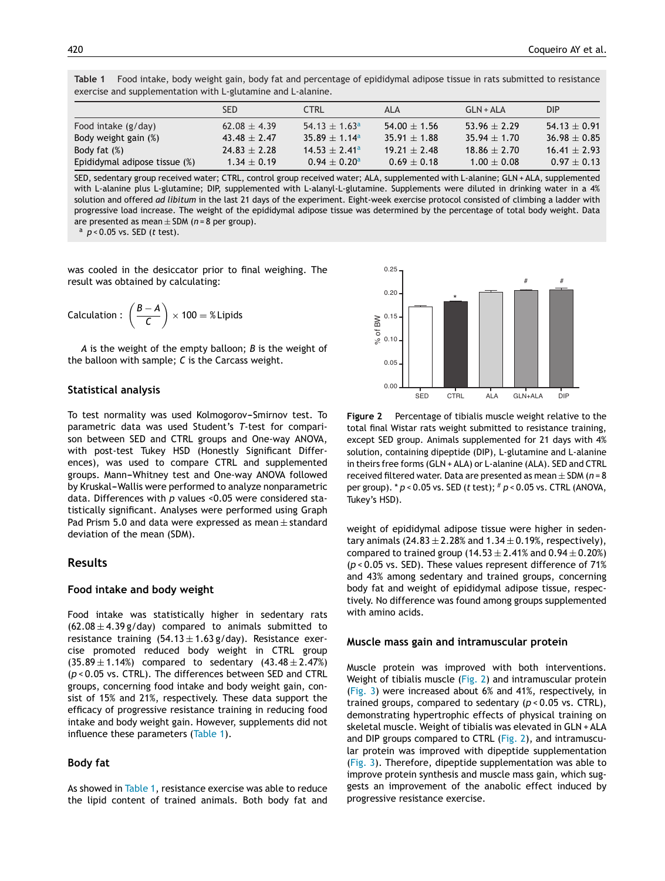**Table 1** Food intake, body weight gain, body fat and percentage of epididymal adipose tissue in rats submitted to resistance exercise and supplementation with L-glutamine and L-alanine.

|                               | <b>SED</b>       | <b>CTRL</b>                   | ALA              | $GLN+ALA$        | <b>DIP</b>       |
|-------------------------------|------------------|-------------------------------|------------------|------------------|------------------|
| Food intake (g/day)           | $62.08 \pm 4.39$ | 54.13 $\pm$ 1.63 <sup>a</sup> | $54.00 \pm 1.56$ | $53.96 \pm 2.29$ | $54.13 + 0.91$   |
| Body weight gain (%)          | $43.48 \pm 2.47$ | $35.89 + 1.14^a$              | $35.91 + 1.88$   | $35.94 + 1.70$   | $36.98 \pm 0.85$ |
| Body fat $(\%)$               | $24.83 \pm 2.28$ | $14.53 \pm 2.41$ <sup>a</sup> | $19.21 + 2.48$   | $18.86 \pm 2.70$ | $16.41 \pm 2.93$ |
| Epididymal adipose tissue (%) | $1.34 \pm 0.19$  | $0.94 \pm 0.20^{\text{a}}$    | $0.69 + 0.18$    | $1.00 \pm 0.08$  | $0.97 \pm 0.13$  |

SED, sedentary group received water; CTRL, control group received water; ALA, supplemented with L-alanine; GLN + ALA, supplemented with L-alanine plus L-glutamine; DIP, supplemented with L-alanyl-L-glutamine. Supplements were diluted in drinking water in a 4% solution and offered *ad libitum* in the last 21 days of the experiment. Eight-week exercise protocol consisted of climbing a ladder with progressive load increase. The weight of the epididymal adipose tissue was determined by the percentage of total body weight. Data are presented as mean <sup>±</sup> SDM (*<sup>n</sup>* <sup>=</sup> <sup>8</sup> per group). <sup>a</sup> *<sup>p</sup>* <sup>&</sup>lt; 0.05 vs. SED (*<sup>t</sup>* test).

was cooled in the desiccator prior to final weighing. The result was obtained by calculating:

$$
Calculation: \left(\frac{B-A}{C}\right) \times 100 = %Lipids
$$

*A* is the weight of the empty balloon; *B* is the weight of the balloon with sample; *C* is the Carcass weight.

#### **Statistical analysis**

To test normality was used Kolmogorov-Smirnov test. To parametric data was used Student's *T*-test for comparison between SED and CTRL groups and One-way ANOVA, with post-test Tukey HSD (Honestly Significant Differences), was used to compare CTRL and supplemented groups. Mann-Whitney test and One-way ANOVA followed by Kruskal-Wallis were performed to analyze nonparametric data. Differences with *p* values <0.05 were considered statistically significant. Analyses were performed using Graph Pad Prism 5.0 and data were expressed as mean ± standard deviation of the mean (SDM).

#### **Results**

#### **Food intake and body weight**

Food intake was statistically higher in sedentary rats  $(62.08 \pm 4.39 \text{ g/day})$  compared to animals submitted to resistance training  $(54.13 \pm 1.63 \text{ g/day})$ . Resistance exercise promoted reduced body weight in CTRL group  $(35.89 \pm 1.14%)$  compared to sedentary  $(43.48 \pm 2.47%)$ (*p* < 0.05 vs. CTRL). The differences between SED and CTRL groups, concerning food intake and body weight gain, consist of 15% and 21%, respectively. These data support the efficacy of progressive resistance training in reducing food intake and body weight gain. However, supplements did not influence these parameters (Table 1).

#### **Body fat**

As showed in Table 1, resistance exercise was able to reduce the lipid content of trained animals. Both body fat and



**Figure 2** Percentage of tibialis muscle weight relative to the total final Wistar rats weight submitted to resistance training, except SED group. Animals supplemented for 21 days with 4% solution, containing dipeptide (DIP), L-glutamine and L-alanine in theirs free forms (GLN + ALA) or L-alanine (ALA). SED and CTRL received filtered water. Data are presented as mean <sup>±</sup> SDM (*<sup>n</sup>* <sup>=</sup> <sup>8</sup> per group). \* *p* < 0.05 vs. SED (*t* test); # *p* < 0.05 vs. CTRL (ANOVA, Tukey's HSD).

weight of epididymal adipose tissue were higher in sedentary animals  $(24.83 \pm 2.28\%)$  and  $1.34 \pm 0.19\%$ , respectively), compared to trained group  $(14.53 \pm 2.41\%$  and  $0.94 \pm 0.20\%)$ (*p* < 0.05 vs. SED). These values represent difference of 71% and 43% among sedentary and trained groups, concerning body fat and weight of epididymal adipose tissue, respectively. No difference was found among groups supplemented with amino acids.

#### **Muscle mass gain and intramuscular protein**

Muscle protein was improved with both interventions. Weight of tibialis muscle (Fig. 2) and intramuscular protein [\(Fig.](#page-4-0) 3) were increased about 6% and 41%, respectively, in trained groups, compared to sedentary (*p* < 0.05 vs. CTRL), demonstrating hypertrophic effects of physical training on skeletal muscle. Weight of tibialis was elevated in GLN + ALA and DIP groups compared to CTRL (Fig. 2), and intramuscular protein was improved with dipeptide supplementation [\(Fig.](#page-4-0) 3). Therefore, dipeptide supplementation was able to improve protein synthesis and muscle mass gain, which suggests an improvement of the anabolic effect induced by progressive resistance exercise.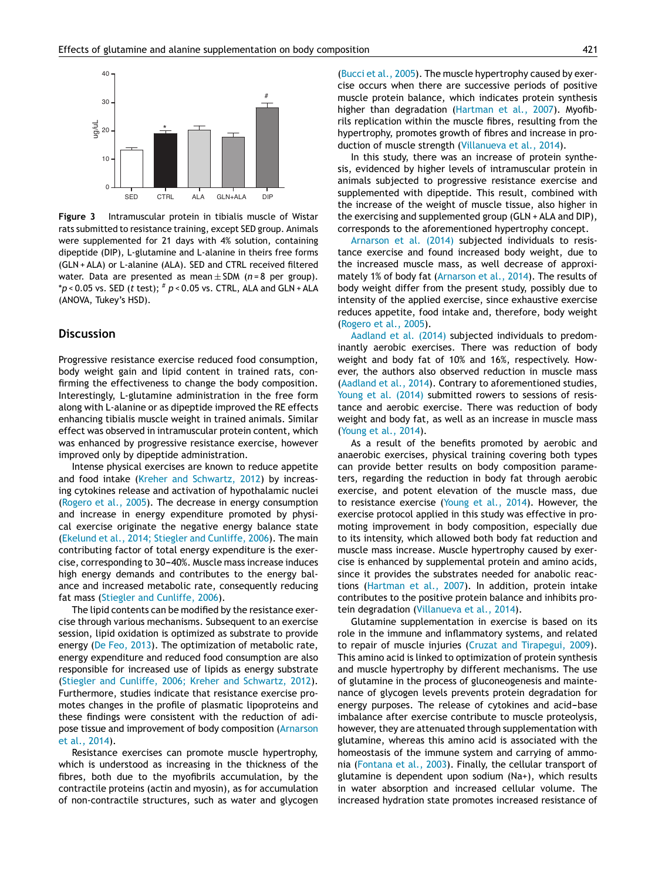<span id="page-4-0"></span>

**Figure 3** Intramuscular protein in tibialis muscle of Wistar rats submitted to resistance training, except SED group. Animals were supplemented for 21 days with 4% solution, containing dipeptide (DIP), L-glutamine and L-alanine in theirs free forms (GLN + ALA) or L-alanine (ALA). SED and CTRL received filtered water. Data are presented as mean <sup>±</sup> SDM (*<sup>n</sup>* <sup>=</sup> <sup>8</sup> per group).  $*p$  < 0.05 vs. SED (*t* test);  $* p$  < 0.05 vs. CTRL, ALA and GLN + ALA (ANOVA, Tukey's HSD).

## **Discussion**

Progressive resistance exercise reduced food consumption, body weight gain and lipid content in trained rats, confirming the effectiveness to change the body composition. Interestingly, L-glutamine administration in the free form along with L-alanine or as dipeptide improved the RE effects enhancing tibialis muscle weight in trained animals. Similar effect was observed in intramuscular protein content, which was enhanced by progressive resistance exercise, however improved only by dipeptide administration.

Intense physical exercises are known to reduce appetite and food intake (Kreher and [Schwartz,](#page-5-0) 2012) by increasing cytokines release and activation of hypothalamic nuclei ([Rogero](#page-5-0) et al., 2005). The decrease in energy consumption and increase in energy expenditure promoted by physical exercise originate the negative energy balance state (Ekelund et al., 2014; Stiegler and [Cunliffe,](#page-5-0) 2006). The main contributing factor of total energy expenditure is the exercise, corresponding to 30-40%. Muscle mass increase induces high energy demands and contributes to the energy balance and increased metabolic rate, consequently reducing fat mass (Stiegler and [Cunliffe,](#page-6-0) 2006).

The lipid contents can be modified by the resistance exercise through various mechanisms. Subsequent to an exercise session, lipid oxidation is optimized as substrate to provide energy (De Feo, [2013\).](#page-5-0) The optimization of metabolic rate, energy expenditure and reduced food consumption are also responsible for increased use of lipids as energy substrate (Stiegler and Cunliffe, 2006; Kreher and [Schwartz,](#page-6-0) 2012). Furthermore, studies indicate that resistance exercise promotes changes in the profile of plasmatic lipoproteins and these findings were consistent with the reduction of adipose tissue and improvement of body composition (Arnarson et al., 2014).

Resistance exercises can promote muscle hypertrophy, which is understood as increasing in the thickness of the fibres, both due to the myofibrils accumulation, by the contractile proteins (actin and myosin), as for accumulation of non-contractile structures, such as water and glycogen (Bucci et al., [2005\).](#page-5-0) The muscle hypertrophy caused by exercise occurs when there are successive periods of positive muscle protein balance, which indicates protein synthesis higher than degradation [\(Hartman](#page-5-0) et al., 2007). Myofibrils replication within the muscle fibres, resulting from the hypertrophy, promotes growth of fibres and increase in production of muscle strength [\(Villanueva](#page-6-0) et al., 2014).

In this study, there was an increase of protein synthesis, evidenced by higher levels of intramuscular protein in animals subjected to progressive resistance exercise and supplemented with dipeptide. This result, combined with the increase of the weight of muscle tissue, also higher in the exercising and supplemented group (GLN + ALA and DIP), corresponds to the aforementioned hypertrophy concept.

[Arnarson](#page-5-0) et al. (2014) subjected individuals to resistance exercise and found increased body weight, due to the increased muscle mass, as well decrease of approximately 1% of body fat [\(Arnarson](#page-5-0) et al., 2014). The results of body weight differ from the present study, possibly due to intensity of the applied exercise, since exhaustive exercise reduces appetite, food intake and, therefore, body weight ([Rogero](#page-5-0) et al., 2005).

[Aadland](#page-5-0) et al. (2014) subjected individuals to predominantly aerobic exercises. There was reduction of body weight and body fat of 10% and 16%, respectively. However, the authors also observed reduction in muscle mass ([Aadland](#page-5-0) et al., 2014). Contrary to aforementioned studies, Young et al. [\(2014\)](#page-6-0) submitted rowers to sessions of resistance and aerobic exercise. There was reduction of body weight and body fat, as well as an increase in muscle mass (Young et al., [2014\).](#page-6-0)

As a result of the benefits promoted by aerobic and anaerobic exercises, physical training covering both types can provide better results on body composition parameters, regarding the reduction in body fat through aerobic exercise, and potent elevation of the muscle mass, due to resistance exercise [\(Young](#page-6-0) et al., 2014). However, the exercise protocol applied in this study was effective in promoting improvement in body composition, especially due to its intensity, which allowed both body fat reduction and muscle mass increase. Muscle hypertrophy caused by exercise is enhanced by supplemental protein and amino acids, since it provides the substrates needed for anabolic reactions ([Hartman](#page-5-0) et al., 2007). In addition, protein intake contributes to the positive protein balance and inhibits protein degradation [\(Villanueva](#page-6-0) et al., 2014).

Glutamine supplementation in exercise is based on its role in the immune and inflammatory systems, and related to repair of muscle injuries (Cruzat and [Tirapegui,](#page-5-0) 2009). This amino acid is linked to optimization of protein synthesis and muscle hypertrophy by different mechanisms. The use of glutamine in the process of gluconeogenesis and maintenance of glycogen levels prevents protein degradation for energy purposes. The release of cytokines and acid-base imbalance after exercise contribute to muscle proteolysis, [however,](#page-5-0) they are attenuated through supplementation with glutamine, whereas this amino acid is associated with the homeostasis of the immune system and carrying of ammonia ([Fontana](#page-5-0) et al., 2003). Finally, the cellular transport of glutamine is dependent upon sodium (Na+), which results in water absorption and increased cellular volume. The increased hydration state promotes increased resistance of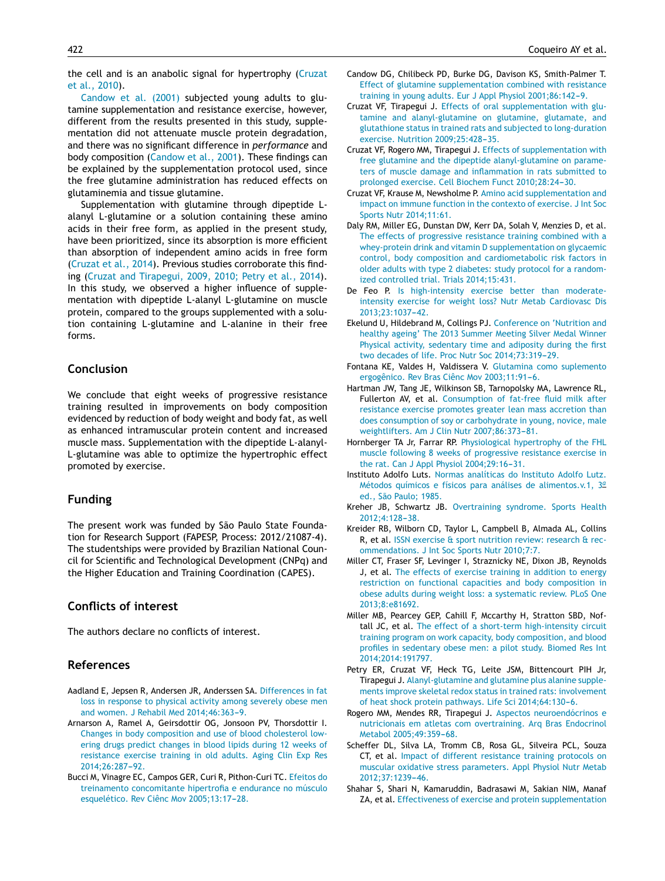<span id="page-5-0"></span>the cell and is an anabolic signal for hypertrophy (Cruzat et al., 2010).

Candow et al. (2001) subjected young adults to glutamine supplementation and resistance exercise, however, different from the results presented in this study, supplementation did not attenuate muscle protein degradation, and there was no significant difference in *performance* and body composition (Candow et al., 2001). These findings can be explained by the supplementation protocol used, since the free glutamine administration has reduced effects on glutaminemia and tissue glutamine.

Supplementation with glutamine through dipeptide Lalanyl L-glutamine or a solution containing these amino acids in their free form, as applied in the present study, have been prioritized, since its absorption is more efficient than absorption of independent amino acids in free form (Cruzat et al., 2014). Previous studies corroborate this finding (Cruzat and Tirapegui, 2009, 2010; Petry et al., 2014). In this study, we observed a higher influence of supplementation with dipeptide L-alanyl L-glutamine on muscle protein, compared to the groups supplemented with a solution containing L-glutamine and L-alanine in their free forms.

## **Conclusion**

We conclude that eight weeks of progressive resistance training resulted in improvements on body composition evidenced by reduction of body weight and body fat, as well as enhanced intramuscular protein content and increased muscle mass. Supplementation with the dipeptide L-alanyl-L-glutamine was able to optimize the hypertrophic effect promoted by exercise.

## **Funding**

The present work was funded by São Paulo State Foundation for Research Support (FAPESP, Process: 2012/21087-4). The studentships were provided by Brazilian National Council for Scientific and Technological Development (CNPq) and the Higher Education and Training Coordination (CAPES).

## **Conflicts of interest**

The authors declare no conflicts of interest.

## **References**

- Aadland E, Jepsen R, Andersen JR, Anderssen SA. [Differences](http://refhub.elsevier.com/S0101-3289(16)30013-0/sbref0040) [in](http://refhub.elsevier.com/S0101-3289(16)30013-0/sbref0040) [fat](http://refhub.elsevier.com/S0101-3289(16)30013-0/sbref0040) [loss](http://refhub.elsevier.com/S0101-3289(16)30013-0/sbref0040) [in](http://refhub.elsevier.com/S0101-3289(16)30013-0/sbref0040) [response](http://refhub.elsevier.com/S0101-3289(16)30013-0/sbref0040) [to](http://refhub.elsevier.com/S0101-3289(16)30013-0/sbref0040) [physical](http://refhub.elsevier.com/S0101-3289(16)30013-0/sbref0040) [activity](http://refhub.elsevier.com/S0101-3289(16)30013-0/sbref0040) [among](http://refhub.elsevier.com/S0101-3289(16)30013-0/sbref0040) [severely](http://refhub.elsevier.com/S0101-3289(16)30013-0/sbref0040) [obese](http://refhub.elsevier.com/S0101-3289(16)30013-0/sbref0040) [men](http://refhub.elsevier.com/S0101-3289(16)30013-0/sbref0040) [and](http://refhub.elsevier.com/S0101-3289(16)30013-0/sbref0040) [women.](http://refhub.elsevier.com/S0101-3289(16)30013-0/sbref0040) [J](http://refhub.elsevier.com/S0101-3289(16)30013-0/sbref0040) [Rehabil](http://refhub.elsevier.com/S0101-3289(16)30013-0/sbref0040) [Med](http://refhub.elsevier.com/S0101-3289(16)30013-0/sbref0040) 2014;46:363-9.
- Arnarson A, Ramel A, Geirsdottir OG, Jonsoon PV, Thorsdottir I. [Changes](http://refhub.elsevier.com/S0101-3289(16)30013-0/sbref0050) [in](http://refhub.elsevier.com/S0101-3289(16)30013-0/sbref0050) [body](http://refhub.elsevier.com/S0101-3289(16)30013-0/sbref0050) [composition](http://refhub.elsevier.com/S0101-3289(16)30013-0/sbref0050) [and](http://refhub.elsevier.com/S0101-3289(16)30013-0/sbref0050) [use](http://refhub.elsevier.com/S0101-3289(16)30013-0/sbref0050) [of](http://refhub.elsevier.com/S0101-3289(16)30013-0/sbref0050) [blood](http://refhub.elsevier.com/S0101-3289(16)30013-0/sbref0050) [cholesterol](http://refhub.elsevier.com/S0101-3289(16)30013-0/sbref0050) [low](http://refhub.elsevier.com/S0101-3289(16)30013-0/sbref0050)[ering](http://refhub.elsevier.com/S0101-3289(16)30013-0/sbref0050) [drugs](http://refhub.elsevier.com/S0101-3289(16)30013-0/sbref0050) [predict](http://refhub.elsevier.com/S0101-3289(16)30013-0/sbref0050) [changes](http://refhub.elsevier.com/S0101-3289(16)30013-0/sbref0050) [in](http://refhub.elsevier.com/S0101-3289(16)30013-0/sbref0050) [blood](http://refhub.elsevier.com/S0101-3289(16)30013-0/sbref0050) [lipids](http://refhub.elsevier.com/S0101-3289(16)30013-0/sbref0050) [during](http://refhub.elsevier.com/S0101-3289(16)30013-0/sbref0050) [12](http://refhub.elsevier.com/S0101-3289(16)30013-0/sbref0050) [weeks](http://refhub.elsevier.com/S0101-3289(16)30013-0/sbref0050) [of](http://refhub.elsevier.com/S0101-3289(16)30013-0/sbref0050) [resistance](http://refhub.elsevier.com/S0101-3289(16)30013-0/sbref0050) [exercise](http://refhub.elsevier.com/S0101-3289(16)30013-0/sbref0050) [training](http://refhub.elsevier.com/S0101-3289(16)30013-0/sbref0050) [in](http://refhub.elsevier.com/S0101-3289(16)30013-0/sbref0050) [old](http://refhub.elsevier.com/S0101-3289(16)30013-0/sbref0050) [adults.](http://refhub.elsevier.com/S0101-3289(16)30013-0/sbref0050) [Aging](http://refhub.elsevier.com/S0101-3289(16)30013-0/sbref0050) [Clin](http://refhub.elsevier.com/S0101-3289(16)30013-0/sbref0050) [Exp](http://refhub.elsevier.com/S0101-3289(16)30013-0/sbref0050) [Res](http://refhub.elsevier.com/S0101-3289(16)30013-0/sbref0050) 2014;26:287-92.
- Bucci M, Vinagre EC, Campos GER, Curi R, Pithon-Curi TC. [Efeitos](http://refhub.elsevier.com/S0101-3289(16)30013-0/sbref0115) [do](http://refhub.elsevier.com/S0101-3289(16)30013-0/sbref0115) [treinamento](http://refhub.elsevier.com/S0101-3289(16)30013-0/sbref0115) [concomitante](http://refhub.elsevier.com/S0101-3289(16)30013-0/sbref0115) [hipertrofia](http://refhub.elsevier.com/S0101-3289(16)30013-0/sbref0115) [e](http://refhub.elsevier.com/S0101-3289(16)30013-0/sbref0115) [endurance](http://refhub.elsevier.com/S0101-3289(16)30013-0/sbref0115) [no](http://refhub.elsevier.com/S0101-3289(16)30013-0/sbref0115) [músculo](http://refhub.elsevier.com/S0101-3289(16)30013-0/sbref0115) [esquelético.](http://refhub.elsevier.com/S0101-3289(16)30013-0/sbref0115) [Rev](http://refhub.elsevier.com/S0101-3289(16)30013-0/sbref0115) [Ciênc](http://refhub.elsevier.com/S0101-3289(16)30013-0/sbref0115) [Mov](http://refhub.elsevier.com/S0101-3289(16)30013-0/sbref0115) 2005;13:17-28.
- Candow DG, Chilibeck PD, Burke DG, Davison KS, Smith-Palmer T. [Effect](http://refhub.elsevier.com/S0101-3289(16)30013-0/sbref0130) [of](http://refhub.elsevier.com/S0101-3289(16)30013-0/sbref0130) [glutamine](http://refhub.elsevier.com/S0101-3289(16)30013-0/sbref0130) [supplementation](http://refhub.elsevier.com/S0101-3289(16)30013-0/sbref0130) [combined](http://refhub.elsevier.com/S0101-3289(16)30013-0/sbref0130) [with](http://refhub.elsevier.com/S0101-3289(16)30013-0/sbref0130) [resistance](http://refhub.elsevier.com/S0101-3289(16)30013-0/sbref0130) [training](http://refhub.elsevier.com/S0101-3289(16)30013-0/sbref0130) [in](http://refhub.elsevier.com/S0101-3289(16)30013-0/sbref0130) [young](http://refhub.elsevier.com/S0101-3289(16)30013-0/sbref0130) [adults.](http://refhub.elsevier.com/S0101-3289(16)30013-0/sbref0130) [Eur](http://refhub.elsevier.com/S0101-3289(16)30013-0/sbref0130) [J](http://refhub.elsevier.com/S0101-3289(16)30013-0/sbref0130) [Appl](http://refhub.elsevier.com/S0101-3289(16)30013-0/sbref0130) [Physiol](http://refhub.elsevier.com/S0101-3289(16)30013-0/sbref0130) 2001;86:142-9.
- Cruzat VF, Tirapegui J. [Effects](http://refhub.elsevier.com/S0101-3289(16)30013-0/sbref0125) [of](http://refhub.elsevier.com/S0101-3289(16)30013-0/sbref0125) [oral](http://refhub.elsevier.com/S0101-3289(16)30013-0/sbref0125) [supplementation](http://refhub.elsevier.com/S0101-3289(16)30013-0/sbref0125) [with](http://refhub.elsevier.com/S0101-3289(16)30013-0/sbref0125) [glu](http://refhub.elsevier.com/S0101-3289(16)30013-0/sbref0125)[tamine](http://refhub.elsevier.com/S0101-3289(16)30013-0/sbref0125) [and](http://refhub.elsevier.com/S0101-3289(16)30013-0/sbref0125) [alanyl-glutamine](http://refhub.elsevier.com/S0101-3289(16)30013-0/sbref0125) [on](http://refhub.elsevier.com/S0101-3289(16)30013-0/sbref0125) [glutamine,](http://refhub.elsevier.com/S0101-3289(16)30013-0/sbref0125) [glutamate,](http://refhub.elsevier.com/S0101-3289(16)30013-0/sbref0125) [and](http://refhub.elsevier.com/S0101-3289(16)30013-0/sbref0125) [glutathione](http://refhub.elsevier.com/S0101-3289(16)30013-0/sbref0125) [status](http://refhub.elsevier.com/S0101-3289(16)30013-0/sbref0125) [in](http://refhub.elsevier.com/S0101-3289(16)30013-0/sbref0125) [trained](http://refhub.elsevier.com/S0101-3289(16)30013-0/sbref0125) [rats](http://refhub.elsevier.com/S0101-3289(16)30013-0/sbref0125) [and](http://refhub.elsevier.com/S0101-3289(16)30013-0/sbref0125) [subjected](http://refhub.elsevier.com/S0101-3289(16)30013-0/sbref0125) [to](http://refhub.elsevier.com/S0101-3289(16)30013-0/sbref0125) [long-duration](http://refhub.elsevier.com/S0101-3289(16)30013-0/sbref0125) [exercise.](http://refhub.elsevier.com/S0101-3289(16)30013-0/sbref0125) [Nutrition](http://refhub.elsevier.com/S0101-3289(16)30013-0/sbref0125) 2009;25:428-35.
- Cruzat VF, Rogero MM, Tirapegui J. [Effects](http://refhub.elsevier.com/S0101-3289(16)30013-0/sbref0080) [of](http://refhub.elsevier.com/S0101-3289(16)30013-0/sbref0080) [supplementation](http://refhub.elsevier.com/S0101-3289(16)30013-0/sbref0080) [with](http://refhub.elsevier.com/S0101-3289(16)30013-0/sbref0080) [free](http://refhub.elsevier.com/S0101-3289(16)30013-0/sbref0080) [glutamine](http://refhub.elsevier.com/S0101-3289(16)30013-0/sbref0080) [and](http://refhub.elsevier.com/S0101-3289(16)30013-0/sbref0080) [the](http://refhub.elsevier.com/S0101-3289(16)30013-0/sbref0080) [dipeptide](http://refhub.elsevier.com/S0101-3289(16)30013-0/sbref0080) [alanyl-glutamine](http://refhub.elsevier.com/S0101-3289(16)30013-0/sbref0080) [on](http://refhub.elsevier.com/S0101-3289(16)30013-0/sbref0080) [parame](http://refhub.elsevier.com/S0101-3289(16)30013-0/sbref0080)[ters](http://refhub.elsevier.com/S0101-3289(16)30013-0/sbref0080) [of](http://refhub.elsevier.com/S0101-3289(16)30013-0/sbref0080) [muscle](http://refhub.elsevier.com/S0101-3289(16)30013-0/sbref0080) [damage](http://refhub.elsevier.com/S0101-3289(16)30013-0/sbref0080) [and](http://refhub.elsevier.com/S0101-3289(16)30013-0/sbref0080) [inflammation](http://refhub.elsevier.com/S0101-3289(16)30013-0/sbref0080) [in](http://refhub.elsevier.com/S0101-3289(16)30013-0/sbref0080) [rats](http://refhub.elsevier.com/S0101-3289(16)30013-0/sbref0080) [submitted](http://refhub.elsevier.com/S0101-3289(16)30013-0/sbref0080) [to](http://refhub.elsevier.com/S0101-3289(16)30013-0/sbref0080) [prolonged](http://refhub.elsevier.com/S0101-3289(16)30013-0/sbref0080) [exercise.](http://refhub.elsevier.com/S0101-3289(16)30013-0/sbref0080) [Cell](http://refhub.elsevier.com/S0101-3289(16)30013-0/sbref0080) [Biochem](http://refhub.elsevier.com/S0101-3289(16)30013-0/sbref0080) [Funct](http://refhub.elsevier.com/S0101-3289(16)30013-0/sbref0080) 2010:28:24-30.
- Cruzat VF, Krause M, Newsholme P. [Amino](http://refhub.elsevier.com/S0101-3289(16)30013-0/sbref0090) [acid](http://refhub.elsevier.com/S0101-3289(16)30013-0/sbref0090) [supplementation](http://refhub.elsevier.com/S0101-3289(16)30013-0/sbref0090) [and](http://refhub.elsevier.com/S0101-3289(16)30013-0/sbref0090) [impact](http://refhub.elsevier.com/S0101-3289(16)30013-0/sbref0090) [on](http://refhub.elsevier.com/S0101-3289(16)30013-0/sbref0090) [immune](http://refhub.elsevier.com/S0101-3289(16)30013-0/sbref0090) [function](http://refhub.elsevier.com/S0101-3289(16)30013-0/sbref0090) [in](http://refhub.elsevier.com/S0101-3289(16)30013-0/sbref0090) [the](http://refhub.elsevier.com/S0101-3289(16)30013-0/sbref0090) [contexto](http://refhub.elsevier.com/S0101-3289(16)30013-0/sbref0090) [of](http://refhub.elsevier.com/S0101-3289(16)30013-0/sbref0090) [exercise.](http://refhub.elsevier.com/S0101-3289(16)30013-0/sbref0090) [J](http://refhub.elsevier.com/S0101-3289(16)30013-0/sbref0090) [Int](http://refhub.elsevier.com/S0101-3289(16)30013-0/sbref0090) [Soc](http://refhub.elsevier.com/S0101-3289(16)30013-0/sbref0090) [Sports](http://refhub.elsevier.com/S0101-3289(16)30013-0/sbref0090) [Nutr](http://refhub.elsevier.com/S0101-3289(16)30013-0/sbref0090) [2014;11:61.](http://refhub.elsevier.com/S0101-3289(16)30013-0/sbref0090)
- Daly RM, Miller EG, Dunstan DW, Kerr DA, Solah V, Menzies D, et al. [The](http://refhub.elsevier.com/S0101-3289(16)30013-0/sbref0010) [effects](http://refhub.elsevier.com/S0101-3289(16)30013-0/sbref0010) [of](http://refhub.elsevier.com/S0101-3289(16)30013-0/sbref0010) [progressive](http://refhub.elsevier.com/S0101-3289(16)30013-0/sbref0010) [resistance](http://refhub.elsevier.com/S0101-3289(16)30013-0/sbref0010) [training](http://refhub.elsevier.com/S0101-3289(16)30013-0/sbref0010) [combined](http://refhub.elsevier.com/S0101-3289(16)30013-0/sbref0010) [with](http://refhub.elsevier.com/S0101-3289(16)30013-0/sbref0010) [a](http://refhub.elsevier.com/S0101-3289(16)30013-0/sbref0010) [whey-protein](http://refhub.elsevier.com/S0101-3289(16)30013-0/sbref0010) [drink](http://refhub.elsevier.com/S0101-3289(16)30013-0/sbref0010) [and](http://refhub.elsevier.com/S0101-3289(16)30013-0/sbref0010) [vitamin](http://refhub.elsevier.com/S0101-3289(16)30013-0/sbref0010) [D](http://refhub.elsevier.com/S0101-3289(16)30013-0/sbref0010) [supplementation](http://refhub.elsevier.com/S0101-3289(16)30013-0/sbref0010) [on](http://refhub.elsevier.com/S0101-3289(16)30013-0/sbref0010) [glycaemic](http://refhub.elsevier.com/S0101-3289(16)30013-0/sbref0010) [control,](http://refhub.elsevier.com/S0101-3289(16)30013-0/sbref0010) [body](http://refhub.elsevier.com/S0101-3289(16)30013-0/sbref0010) [composition](http://refhub.elsevier.com/S0101-3289(16)30013-0/sbref0010) [and](http://refhub.elsevier.com/S0101-3289(16)30013-0/sbref0010) [cardiometabolic](http://refhub.elsevier.com/S0101-3289(16)30013-0/sbref0010) [risk](http://refhub.elsevier.com/S0101-3289(16)30013-0/sbref0010) [factors](http://refhub.elsevier.com/S0101-3289(16)30013-0/sbref0010) [in](http://refhub.elsevier.com/S0101-3289(16)30013-0/sbref0010) [older](http://refhub.elsevier.com/S0101-3289(16)30013-0/sbref0010) [adults](http://refhub.elsevier.com/S0101-3289(16)30013-0/sbref0010) [with](http://refhub.elsevier.com/S0101-3289(16)30013-0/sbref0010) [type](http://refhub.elsevier.com/S0101-3289(16)30013-0/sbref0010) [2](http://refhub.elsevier.com/S0101-3289(16)30013-0/sbref0010) [diabetes:](http://refhub.elsevier.com/S0101-3289(16)30013-0/sbref0010) [study](http://refhub.elsevier.com/S0101-3289(16)30013-0/sbref0010) [protocol](http://refhub.elsevier.com/S0101-3289(16)30013-0/sbref0010) [for](http://refhub.elsevier.com/S0101-3289(16)30013-0/sbref0010) [a](http://refhub.elsevier.com/S0101-3289(16)30013-0/sbref0010) [random](http://refhub.elsevier.com/S0101-3289(16)30013-0/sbref0010)[ized](http://refhub.elsevier.com/S0101-3289(16)30013-0/sbref0010) [controlled](http://refhub.elsevier.com/S0101-3289(16)30013-0/sbref0010) [trial.](http://refhub.elsevier.com/S0101-3289(16)30013-0/sbref0010) [Trials](http://refhub.elsevier.com/S0101-3289(16)30013-0/sbref0010) [2014;15:431.](http://refhub.elsevier.com/S0101-3289(16)30013-0/sbref0010)
- De Feo P. [Is](http://refhub.elsevier.com/S0101-3289(16)30013-0/sbref0070) [high-intensity](http://refhub.elsevier.com/S0101-3289(16)30013-0/sbref0070) [exercise](http://refhub.elsevier.com/S0101-3289(16)30013-0/sbref0070) [better](http://refhub.elsevier.com/S0101-3289(16)30013-0/sbref0070) [than](http://refhub.elsevier.com/S0101-3289(16)30013-0/sbref0070) [moderate](http://refhub.elsevier.com/S0101-3289(16)30013-0/sbref0070)[intensity](http://refhub.elsevier.com/S0101-3289(16)30013-0/sbref0070) [exercise](http://refhub.elsevier.com/S0101-3289(16)30013-0/sbref0070) [for](http://refhub.elsevier.com/S0101-3289(16)30013-0/sbref0070) [weight](http://refhub.elsevier.com/S0101-3289(16)30013-0/sbref0070) [loss?](http://refhub.elsevier.com/S0101-3289(16)30013-0/sbref0070) [Nutr](http://refhub.elsevier.com/S0101-3289(16)30013-0/sbref0070) [Metab](http://refhub.elsevier.com/S0101-3289(16)30013-0/sbref0070) [Cardiovasc](http://refhub.elsevier.com/S0101-3289(16)30013-0/sbref0070) [Dis](http://refhub.elsevier.com/S0101-3289(16)30013-0/sbref0070) 2013;23:1037-42.
- Ekelund U, Hildebrand M, Collings PJ. [Conference](http://refhub.elsevier.com/S0101-3289(16)30013-0/sbref0015) [on](http://refhub.elsevier.com/S0101-3289(16)30013-0/sbref0015) ['Nutrition](http://refhub.elsevier.com/S0101-3289(16)30013-0/sbref0015) [and](http://refhub.elsevier.com/S0101-3289(16)30013-0/sbref0015) [healthy](http://refhub.elsevier.com/S0101-3289(16)30013-0/sbref0015) [ageing'](http://refhub.elsevier.com/S0101-3289(16)30013-0/sbref0015) [The](http://refhub.elsevier.com/S0101-3289(16)30013-0/sbref0015) [2013](http://refhub.elsevier.com/S0101-3289(16)30013-0/sbref0015) [Summer](http://refhub.elsevier.com/S0101-3289(16)30013-0/sbref0015) [Meeting](http://refhub.elsevier.com/S0101-3289(16)30013-0/sbref0015) [Silver](http://refhub.elsevier.com/S0101-3289(16)30013-0/sbref0015) [Medal](http://refhub.elsevier.com/S0101-3289(16)30013-0/sbref0015) [Winner](http://refhub.elsevier.com/S0101-3289(16)30013-0/sbref0015) [Physical](http://refhub.elsevier.com/S0101-3289(16)30013-0/sbref0015) [activity,](http://refhub.elsevier.com/S0101-3289(16)30013-0/sbref0015) [sedentary](http://refhub.elsevier.com/S0101-3289(16)30013-0/sbref0015) [time](http://refhub.elsevier.com/S0101-3289(16)30013-0/sbref0015) [and](http://refhub.elsevier.com/S0101-3289(16)30013-0/sbref0015) [adiposity](http://refhub.elsevier.com/S0101-3289(16)30013-0/sbref0015) [during](http://refhub.elsevier.com/S0101-3289(16)30013-0/sbref0015) [the](http://refhub.elsevier.com/S0101-3289(16)30013-0/sbref0015) [first](http://refhub.elsevier.com/S0101-3289(16)30013-0/sbref0015) [two](http://refhub.elsevier.com/S0101-3289(16)30013-0/sbref0015) [decades](http://refhub.elsevier.com/S0101-3289(16)30013-0/sbref0015) [of](http://refhub.elsevier.com/S0101-3289(16)30013-0/sbref0015) [life.](http://refhub.elsevier.com/S0101-3289(16)30013-0/sbref0015) [Proc](http://refhub.elsevier.com/S0101-3289(16)30013-0/sbref0015) [Nutr](http://refhub.elsevier.com/S0101-3289(16)30013-0/sbref0015) [Soc](http://refhub.elsevier.com/S0101-3289(16)30013-0/sbref0015) 2014;73:319-29.
- Fontana KE, Valdes H, Valdissera V. [Glutamina](http://refhub.elsevier.com/S0101-3289(16)30013-0/sbref0085) [como](http://refhub.elsevier.com/S0101-3289(16)30013-0/sbref0085) [suplemento](http://refhub.elsevier.com/S0101-3289(16)30013-0/sbref0085) [ergogênico.](http://refhub.elsevier.com/S0101-3289(16)30013-0/sbref0085) [Rev](http://refhub.elsevier.com/S0101-3289(16)30013-0/sbref0085) [Bras](http://refhub.elsevier.com/S0101-3289(16)30013-0/sbref0085) [Ciênc](http://refhub.elsevier.com/S0101-3289(16)30013-0/sbref0085) [Mov](http://refhub.elsevier.com/S0101-3289(16)30013-0/sbref0085) 2003;11:91-6.
- Hartman JW, Tang JE, Wilkinson SB, Tarnopolsky MA, Lawrence RL, Fullerton AV, et al. [Consumption](http://refhub.elsevier.com/S0101-3289(16)30013-0/sbref0075) [of](http://refhub.elsevier.com/S0101-3289(16)30013-0/sbref0075) [fat-free](http://refhub.elsevier.com/S0101-3289(16)30013-0/sbref0075) [fluid](http://refhub.elsevier.com/S0101-3289(16)30013-0/sbref0075) [milk](http://refhub.elsevier.com/S0101-3289(16)30013-0/sbref0075) [after](http://refhub.elsevier.com/S0101-3289(16)30013-0/sbref0075) [resistance](http://refhub.elsevier.com/S0101-3289(16)30013-0/sbref0075) [exercise](http://refhub.elsevier.com/S0101-3289(16)30013-0/sbref0075) [promotes](http://refhub.elsevier.com/S0101-3289(16)30013-0/sbref0075) [greater](http://refhub.elsevier.com/S0101-3289(16)30013-0/sbref0075) [lean](http://refhub.elsevier.com/S0101-3289(16)30013-0/sbref0075) [mass](http://refhub.elsevier.com/S0101-3289(16)30013-0/sbref0075) [accretion](http://refhub.elsevier.com/S0101-3289(16)30013-0/sbref0075) [than](http://refhub.elsevier.com/S0101-3289(16)30013-0/sbref0075) [does](http://refhub.elsevier.com/S0101-3289(16)30013-0/sbref0075) [consumption](http://refhub.elsevier.com/S0101-3289(16)30013-0/sbref0075) [of](http://refhub.elsevier.com/S0101-3289(16)30013-0/sbref0075) [soy](http://refhub.elsevier.com/S0101-3289(16)30013-0/sbref0075) [or](http://refhub.elsevier.com/S0101-3289(16)30013-0/sbref0075) [carbohydrate](http://refhub.elsevier.com/S0101-3289(16)30013-0/sbref0075) [in](http://refhub.elsevier.com/S0101-3289(16)30013-0/sbref0075) [young,](http://refhub.elsevier.com/S0101-3289(16)30013-0/sbref0075) [novice,](http://refhub.elsevier.com/S0101-3289(16)30013-0/sbref0075) [male](http://refhub.elsevier.com/S0101-3289(16)30013-0/sbref0075) [weightlifters.](http://refhub.elsevier.com/S0101-3289(16)30013-0/sbref0075) [Am](http://refhub.elsevier.com/S0101-3289(16)30013-0/sbref0075) [J](http://refhub.elsevier.com/S0101-3289(16)30013-0/sbref0075) [Clin](http://refhub.elsevier.com/S0101-3289(16)30013-0/sbref0075) [Nutr](http://refhub.elsevier.com/S0101-3289(16)30013-0/sbref0075) 2007;86:373-81.
- Hornberger TA Jr, Farrar RP. [Physiological](http://refhub.elsevier.com/S0101-3289(16)30013-0/sbref0095) [hypertrophy](http://refhub.elsevier.com/S0101-3289(16)30013-0/sbref0095) [of](http://refhub.elsevier.com/S0101-3289(16)30013-0/sbref0095) [the](http://refhub.elsevier.com/S0101-3289(16)30013-0/sbref0095) [FHL](http://refhub.elsevier.com/S0101-3289(16)30013-0/sbref0095) [muscle](http://refhub.elsevier.com/S0101-3289(16)30013-0/sbref0095) [following](http://refhub.elsevier.com/S0101-3289(16)30013-0/sbref0095) [8](http://refhub.elsevier.com/S0101-3289(16)30013-0/sbref0095) [weeks](http://refhub.elsevier.com/S0101-3289(16)30013-0/sbref0095) [of](http://refhub.elsevier.com/S0101-3289(16)30013-0/sbref0095) [progressive](http://refhub.elsevier.com/S0101-3289(16)30013-0/sbref0095) [resistance](http://refhub.elsevier.com/S0101-3289(16)30013-0/sbref0095) [exercise](http://refhub.elsevier.com/S0101-3289(16)30013-0/sbref0095) [in](http://refhub.elsevier.com/S0101-3289(16)30013-0/sbref0095) [the](http://refhub.elsevier.com/S0101-3289(16)30013-0/sbref0095) [rat.](http://refhub.elsevier.com/S0101-3289(16)30013-0/sbref0095) [Can](http://refhub.elsevier.com/S0101-3289(16)30013-0/sbref0095) [J](http://refhub.elsevier.com/S0101-3289(16)30013-0/sbref0095) [Appl](http://refhub.elsevier.com/S0101-3289(16)30013-0/sbref0095) [Physiol](http://refhub.elsevier.com/S0101-3289(16)30013-0/sbref0095)  $2004;29:16-31$ .
- Instituto Adolfo Luts. [Normas](http://refhub.elsevier.com/S0101-3289(16)30013-0/sbref0105) [analíticas](http://refhub.elsevier.com/S0101-3289(16)30013-0/sbref0105) [do](http://refhub.elsevier.com/S0101-3289(16)30013-0/sbref0105) [Instituto](http://refhub.elsevier.com/S0101-3289(16)30013-0/sbref0105) [Adolfo](http://refhub.elsevier.com/S0101-3289(16)30013-0/sbref0105) [Lutz.](http://refhub.elsevier.com/S0101-3289(16)30013-0/sbref0105) [Métodos](http://refhub.elsevier.com/S0101-3289(16)30013-0/sbref0105) [químicos](http://refhub.elsevier.com/S0101-3289(16)30013-0/sbref0105) [e](http://refhub.elsevier.com/S0101-3289(16)30013-0/sbref0105) [físicos](http://refhub.elsevier.com/S0101-3289(16)30013-0/sbref0105) [para](http://refhub.elsevier.com/S0101-3289(16)30013-0/sbref0105) [análises](http://refhub.elsevier.com/S0101-3289(16)30013-0/sbref0105) [de](http://refhub.elsevier.com/S0101-3289(16)30013-0/sbref0105) [alimentos.v.1,](http://refhub.elsevier.com/S0101-3289(16)30013-0/sbref0105)  $3<sup>2</sup>$  $3<sup>2</sup>$ [ed.,](http://refhub.elsevier.com/S0101-3289(16)30013-0/sbref0105) [São](http://refhub.elsevier.com/S0101-3289(16)30013-0/sbref0105) [Paulo;](http://refhub.elsevier.com/S0101-3289(16)30013-0/sbref0105) [1985.](http://refhub.elsevier.com/S0101-3289(16)30013-0/sbref0105)
- Kreher JB, Schwartz JB. [Overtraining](http://refhub.elsevier.com/S0101-3289(16)30013-0/sbref0110) [syndrome.](http://refhub.elsevier.com/S0101-3289(16)30013-0/sbref0110) [Sports](http://refhub.elsevier.com/S0101-3289(16)30013-0/sbref0110) [Health](http://refhub.elsevier.com/S0101-3289(16)30013-0/sbref0110) 2012:4:128-38
- Kreider RB, Wilborn CD, Taylor L, Campbell B, Almada AL, Collins R, et al. [ISSN](http://refhub.elsevier.com/S0101-3289(16)30013-0/sbref0030) [exercise](http://refhub.elsevier.com/S0101-3289(16)30013-0/sbref0030) [&](http://refhub.elsevier.com/S0101-3289(16)30013-0/sbref0030) [sport](http://refhub.elsevier.com/S0101-3289(16)30013-0/sbref0030) [nutrition](http://refhub.elsevier.com/S0101-3289(16)30013-0/sbref0030) [review:](http://refhub.elsevier.com/S0101-3289(16)30013-0/sbref0030) [research](http://refhub.elsevier.com/S0101-3289(16)30013-0/sbref0030) [&](http://refhub.elsevier.com/S0101-3289(16)30013-0/sbref0030) [rec](http://refhub.elsevier.com/S0101-3289(16)30013-0/sbref0030)[ommendations.](http://refhub.elsevier.com/S0101-3289(16)30013-0/sbref0030) [J](http://refhub.elsevier.com/S0101-3289(16)30013-0/sbref0030) [Int](http://refhub.elsevier.com/S0101-3289(16)30013-0/sbref0030) [Soc](http://refhub.elsevier.com/S0101-3289(16)30013-0/sbref0030) [Sports](http://refhub.elsevier.com/S0101-3289(16)30013-0/sbref0030) [Nutr](http://refhub.elsevier.com/S0101-3289(16)30013-0/sbref0030) [2010;7:7.](http://refhub.elsevier.com/S0101-3289(16)30013-0/sbref0030)
- Miller CT, Fraser SF, Levinger I, Straznicky NE, Dixon JB, Reynolds J, et al. [The](http://refhub.elsevier.com/S0101-3289(16)30013-0/sbref0005) [effects](http://refhub.elsevier.com/S0101-3289(16)30013-0/sbref0005) [of](http://refhub.elsevier.com/S0101-3289(16)30013-0/sbref0005) [exercise](http://refhub.elsevier.com/S0101-3289(16)30013-0/sbref0005) [training](http://refhub.elsevier.com/S0101-3289(16)30013-0/sbref0005) [in](http://refhub.elsevier.com/S0101-3289(16)30013-0/sbref0005) [addition](http://refhub.elsevier.com/S0101-3289(16)30013-0/sbref0005) [to](http://refhub.elsevier.com/S0101-3289(16)30013-0/sbref0005) [energy](http://refhub.elsevier.com/S0101-3289(16)30013-0/sbref0005) [restriction](http://refhub.elsevier.com/S0101-3289(16)30013-0/sbref0005) [on](http://refhub.elsevier.com/S0101-3289(16)30013-0/sbref0005) [functional](http://refhub.elsevier.com/S0101-3289(16)30013-0/sbref0005) [capacities](http://refhub.elsevier.com/S0101-3289(16)30013-0/sbref0005) [and](http://refhub.elsevier.com/S0101-3289(16)30013-0/sbref0005) [body](http://refhub.elsevier.com/S0101-3289(16)30013-0/sbref0005) [composition](http://refhub.elsevier.com/S0101-3289(16)30013-0/sbref0005) [in](http://refhub.elsevier.com/S0101-3289(16)30013-0/sbref0005) [obese](http://refhub.elsevier.com/S0101-3289(16)30013-0/sbref0005) [adults](http://refhub.elsevier.com/S0101-3289(16)30013-0/sbref0005) [during](http://refhub.elsevier.com/S0101-3289(16)30013-0/sbref0005) [weight](http://refhub.elsevier.com/S0101-3289(16)30013-0/sbref0005) [loss:](http://refhub.elsevier.com/S0101-3289(16)30013-0/sbref0005) [a](http://refhub.elsevier.com/S0101-3289(16)30013-0/sbref0005) [systematic](http://refhub.elsevier.com/S0101-3289(16)30013-0/sbref0005) [review.](http://refhub.elsevier.com/S0101-3289(16)30013-0/sbref0005) [PLoS](http://refhub.elsevier.com/S0101-3289(16)30013-0/sbref0005) [One](http://refhub.elsevier.com/S0101-3289(16)30013-0/sbref0005) [2013;8:e81692.](http://refhub.elsevier.com/S0101-3289(16)30013-0/sbref0005)
- Miller MB, Pearcey GEP, Cahill F, Mccarthy H, Stratton SBD, Noftall JC, et al. [The](http://refhub.elsevier.com/S0101-3289(16)30013-0/sbref0045) [effect](http://refhub.elsevier.com/S0101-3289(16)30013-0/sbref0045) [of](http://refhub.elsevier.com/S0101-3289(16)30013-0/sbref0045) [a](http://refhub.elsevier.com/S0101-3289(16)30013-0/sbref0045) [short-term](http://refhub.elsevier.com/S0101-3289(16)30013-0/sbref0045) [high-intensity](http://refhub.elsevier.com/S0101-3289(16)30013-0/sbref0045) [circuit](http://refhub.elsevier.com/S0101-3289(16)30013-0/sbref0045) [training](http://refhub.elsevier.com/S0101-3289(16)30013-0/sbref0045) [program](http://refhub.elsevier.com/S0101-3289(16)30013-0/sbref0045) [on](http://refhub.elsevier.com/S0101-3289(16)30013-0/sbref0045) [work](http://refhub.elsevier.com/S0101-3289(16)30013-0/sbref0045) [capacity,](http://refhub.elsevier.com/S0101-3289(16)30013-0/sbref0045) [body](http://refhub.elsevier.com/S0101-3289(16)30013-0/sbref0045) [composition,](http://refhub.elsevier.com/S0101-3289(16)30013-0/sbref0045) [and](http://refhub.elsevier.com/S0101-3289(16)30013-0/sbref0045) [blood](http://refhub.elsevier.com/S0101-3289(16)30013-0/sbref0045) [profiles](http://refhub.elsevier.com/S0101-3289(16)30013-0/sbref0045) [in](http://refhub.elsevier.com/S0101-3289(16)30013-0/sbref0045) [sedentary](http://refhub.elsevier.com/S0101-3289(16)30013-0/sbref0045) [obese](http://refhub.elsevier.com/S0101-3289(16)30013-0/sbref0045) [men:](http://refhub.elsevier.com/S0101-3289(16)30013-0/sbref0045) [a](http://refhub.elsevier.com/S0101-3289(16)30013-0/sbref0045) [pilot](http://refhub.elsevier.com/S0101-3289(16)30013-0/sbref0045) [study.](http://refhub.elsevier.com/S0101-3289(16)30013-0/sbref0045) [Biomed](http://refhub.elsevier.com/S0101-3289(16)30013-0/sbref0045) [Res](http://refhub.elsevier.com/S0101-3289(16)30013-0/sbref0045) [Int](http://refhub.elsevier.com/S0101-3289(16)30013-0/sbref0045) [2014;2014:191797.](http://refhub.elsevier.com/S0101-3289(16)30013-0/sbref0045)
- Petry ER, Cruzat VF, Heck TG, Leite JSM, Bittencourt PIH Jr, Tirapegui J. [Alanyl-glutamine](http://refhub.elsevier.com/S0101-3289(16)30013-0/sbref0135) [and](http://refhub.elsevier.com/S0101-3289(16)30013-0/sbref0135) [glutamine](http://refhub.elsevier.com/S0101-3289(16)30013-0/sbref0135) [plus](http://refhub.elsevier.com/S0101-3289(16)30013-0/sbref0135) [alanine](http://refhub.elsevier.com/S0101-3289(16)30013-0/sbref0135) [supple](http://refhub.elsevier.com/S0101-3289(16)30013-0/sbref0135)[ments](http://refhub.elsevier.com/S0101-3289(16)30013-0/sbref0135) [improve](http://refhub.elsevier.com/S0101-3289(16)30013-0/sbref0135) [skeletal](http://refhub.elsevier.com/S0101-3289(16)30013-0/sbref0135) [redox](http://refhub.elsevier.com/S0101-3289(16)30013-0/sbref0135) [status](http://refhub.elsevier.com/S0101-3289(16)30013-0/sbref0135) [in](http://refhub.elsevier.com/S0101-3289(16)30013-0/sbref0135) [trained](http://refhub.elsevier.com/S0101-3289(16)30013-0/sbref0135) [rats:](http://refhub.elsevier.com/S0101-3289(16)30013-0/sbref0135) [involvement](http://refhub.elsevier.com/S0101-3289(16)30013-0/sbref0135) [of](http://refhub.elsevier.com/S0101-3289(16)30013-0/sbref0135) [heat](http://refhub.elsevier.com/S0101-3289(16)30013-0/sbref0135) [shock](http://refhub.elsevier.com/S0101-3289(16)30013-0/sbref0135) [protein](http://refhub.elsevier.com/S0101-3289(16)30013-0/sbref0135) [pathways.](http://refhub.elsevier.com/S0101-3289(16)30013-0/sbref0135) [Life](http://refhub.elsevier.com/S0101-3289(16)30013-0/sbref0135) [Sci](http://refhub.elsevier.com/S0101-3289(16)30013-0/sbref0135) 2014;64:130-6.
- Rogero MM, Mendes RR, Tirapegui J. [Aspectos](http://refhub.elsevier.com/S0101-3289(16)30013-0/sbref0065) [neuroendócrinos](http://refhub.elsevier.com/S0101-3289(16)30013-0/sbref0065) [e](http://refhub.elsevier.com/S0101-3289(16)30013-0/sbref0065) [nutricionais](http://refhub.elsevier.com/S0101-3289(16)30013-0/sbref0065) [em](http://refhub.elsevier.com/S0101-3289(16)30013-0/sbref0065) [atletas](http://refhub.elsevier.com/S0101-3289(16)30013-0/sbref0065) [com](http://refhub.elsevier.com/S0101-3289(16)30013-0/sbref0065) [overtraining.](http://refhub.elsevier.com/S0101-3289(16)30013-0/sbref0065) [Arq](http://refhub.elsevier.com/S0101-3289(16)30013-0/sbref0065) [Bras](http://refhub.elsevier.com/S0101-3289(16)30013-0/sbref0065) [Endocrinol](http://refhub.elsevier.com/S0101-3289(16)30013-0/sbref0065) [Metabol](http://refhub.elsevier.com/S0101-3289(16)30013-0/sbref0065) 2005:49:359-68.
- Scheffer DL, Silva LA, Tromm CB, Rosa GL, Silveira PCL, Souza CT, et al. [Impact](http://refhub.elsevier.com/S0101-3289(16)30013-0/sbref0100) [of](http://refhub.elsevier.com/S0101-3289(16)30013-0/sbref0100) [different](http://refhub.elsevier.com/S0101-3289(16)30013-0/sbref0100) [resistance](http://refhub.elsevier.com/S0101-3289(16)30013-0/sbref0100) [training](http://refhub.elsevier.com/S0101-3289(16)30013-0/sbref0100) [protocols](http://refhub.elsevier.com/S0101-3289(16)30013-0/sbref0100) [on](http://refhub.elsevier.com/S0101-3289(16)30013-0/sbref0100) [muscular](http://refhub.elsevier.com/S0101-3289(16)30013-0/sbref0100) [oxidative](http://refhub.elsevier.com/S0101-3289(16)30013-0/sbref0100) [stress](http://refhub.elsevier.com/S0101-3289(16)30013-0/sbref0100) [parameters.](http://refhub.elsevier.com/S0101-3289(16)30013-0/sbref0100) [Appl](http://refhub.elsevier.com/S0101-3289(16)30013-0/sbref0100) [Physiol](http://refhub.elsevier.com/S0101-3289(16)30013-0/sbref0100) [Nutr](http://refhub.elsevier.com/S0101-3289(16)30013-0/sbref0100) [Metab](http://refhub.elsevier.com/S0101-3289(16)30013-0/sbref0100) [2012;37:1239](http://refhub.elsevier.com/S0101-3289(16)30013-0/sbref0100)[-46.](http://refhub.elsevier.com/S0101-3289(16)30013-0/sbref0100)
- Shahar S, Shari N, Kamaruddin, Badrasawi M, Sakian NIM, Manaf ZA, et al. [Effectiveness](http://refhub.elsevier.com/S0101-3289(16)30013-0/sbref0025) [of](http://refhub.elsevier.com/S0101-3289(16)30013-0/sbref0025) [exercise](http://refhub.elsevier.com/S0101-3289(16)30013-0/sbref0025) [and](http://refhub.elsevier.com/S0101-3289(16)30013-0/sbref0025) [protein](http://refhub.elsevier.com/S0101-3289(16)30013-0/sbref0025) [supplementation](http://refhub.elsevier.com/S0101-3289(16)30013-0/sbref0025)